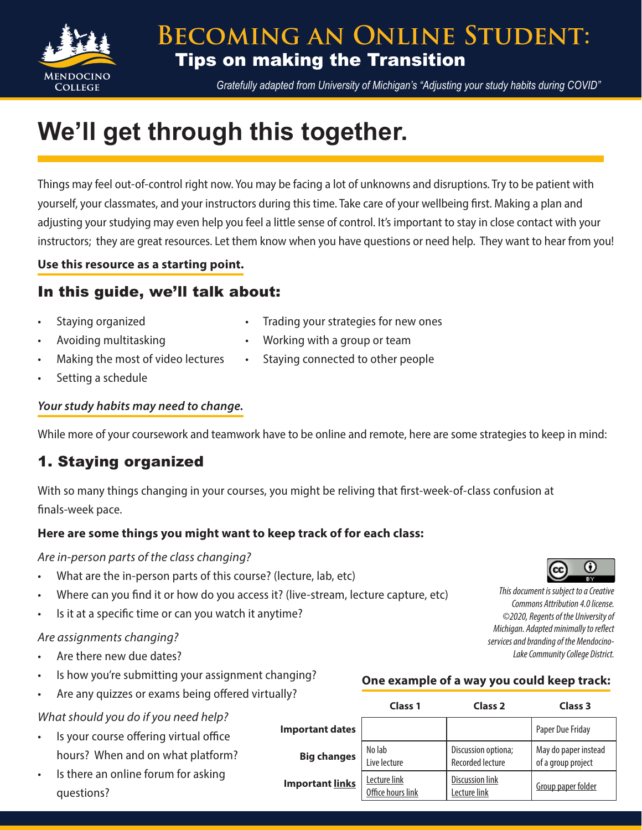

*Gratefully adapted from University of Michigan's "Adjusting your study habits during COVID"*

# **We'll get through this together.**

Things may feel out-of-control right now. You may be facing a lot of unknowns and disruptions. Try to be patient with yourself, your classmates, and your instructors during this time. Take care of your wellbeing first. Making a plan and adjusting your studying may even help you feel a little sense of control. It's important to stay in close contact with your instructors; they are great resources. Let them know when you have questions or need help. They want to hear from you!

#### **Use this resource as a starting point.**

## In this guide, we'll talk about:

- Staying organized Trading your strategies for new ones
- 
- Avoiding multitasking **•** Working with a group or team
	- Making the most of video lectures Staying connected to other people
- Setting a schedule

#### *Your study habits may need to change.*

While more of your coursework and teamwork have to be online and remote, here are some strategies to keep in mind:

## 1. Staying organized

With so many things changing in your courses, you might be reliving that first-week-of-class confusion at finals-week pace.

#### **Here are some things you might want to keep track of for each class:**

*Are in-person parts of the class changing?*

- What are the in-person parts of this course? (lecture, lab, etc)
- Where can you find it or how do you access it? (live-stream, lecture capture, etc)
- Is it at a specific time or can you watch it anytime?

#### *Are assignments changing?*

- Are there new due dates?
- Is how you're submitting your assignment changing?
- Are any quizzes or exams being offered virtually?

### *What should you do if you need help?*

- Is your course offering virtual office hours? When and on what platform?
- Is there an online forum for asking questions?



*This document is subject to a Creative Commons Attribution 4.0 license. ©2020, Regents of the University of Michigan. Adapted minimally to reflect services and branding of the Mendocino-Lake Community College District.*

### **One example of a way you could keep track:**

|                        | Class <sub>1</sub>                | Class <sub>2</sub>                             | Class <sub>3</sub>                         |
|------------------------|-----------------------------------|------------------------------------------------|--------------------------------------------|
| <b>Important dates</b> |                                   |                                                | Paper Due Friday                           |
| <b>Big changes</b>     | No lab<br>Live lecture            | Discussion optiona;<br><b>Recorded lecture</b> | May do paper instead<br>of a group project |
| <b>Important links</b> | Lecture link<br>Office hours link | <b>Discussion link</b><br>Lecture link         | Group paper folder                         |

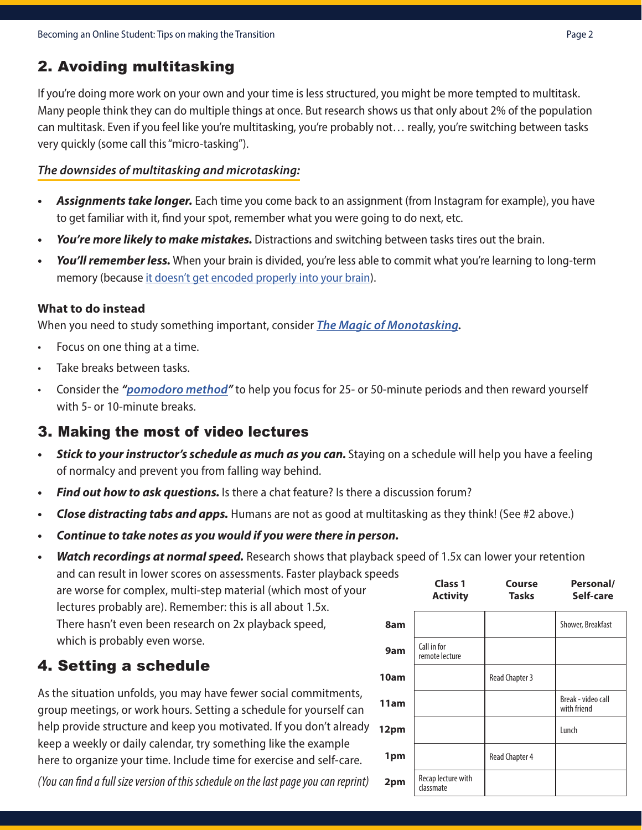## 2. Avoiding multitasking

If you're doing more work on your own and your time is less structured, you might be more tempted to multitask. Many people think they can do multiple things at once. But research shows us that only about 2% of the population can multitask. Even if you feel like you're multitasking, you're probably not… really, you're switching between tasks very quickly (some call this "micro-tasking").

#### *The downsides of multitasking and microtasking:*

- *• Assignments take longer.* Each time you come back to an assignment (from Instagram for example), you have to get familiar with it, find your spot, remember what you were going to do next, etc.
- *• You're more likely to make mistakes.* Distractions and switching between tasks tires out the brain.
- *• You'll remember less.* When your brain is divided, you're less able to commit what you're learning to long-term memory (because [it doesn't get encoded properly into your brain](https://www.ncbi.nlm.nih.gov/pubmed/10868332)).

#### **What to do instead**

When you need to study something important, consider *[The Magic of Monotasking](https://www.huffpost.com/entry/the-magic-of-monotasking_b_9239892).*

- Focus on one thing at a time.
- Take breaks between tasks.
- Consider the *"[pomodoro method](https://tomato-timer.com/)"* to help you focus for 25- or 50-minute periods and then reward yourself with 5- or 10-minute breaks.

## 3. Making the most of video lectures

- *• Stick to your instructor's schedule as much as you can.* Staying on a schedule will help you have a feeling of normalcy and prevent you from falling way behind.
- *• Find out how to ask questions.* Is there a chat feature? Is there a discussion forum?
- *• Close distracting tabs and apps.* Humans are not as good at multitasking as they think! (See #2 above.)
- *• Continue to take notes as you would if you were there in person.*

#### *• Watch recordings at normal speed.* Research shows that playback speed of 1.5x can lower your retention and can result in lower scores on assessments. Faster playback speeds

are worse for complex, multi-step material (which most of your lectures probably are). Remember: this is all about 1.5x. There hasn't even been research on 2x playback speed, which is probably even worse.

## 4. Setting a schedule

As the situation unfolds, you may have fewer social commitments, group meetings, or work hours. Setting a schedule for yourself can help provide structure and keep you motivated. If you don't already **12pm** keep a weekly or daily calendar, try something like the example here to organize your time. Include time for exercise and self-care.

*(You can find a full size version of this schedule on the last page you can reprint)*

|      | <b>Class 1</b><br><b>Activity</b> | Course<br>Tasks       | Personal/<br>Self-care            |
|------|-----------------------------------|-----------------------|-----------------------------------|
| 8am  |                                   |                       | Shower, Breakfast                 |
| 9am  | Call in for<br>remote lecture     |                       |                                   |
| 10am |                                   | <b>Read Chapter 3</b> |                                   |
| 11am |                                   |                       | Break - video call<br>with friend |
| 12pm |                                   |                       | Lunch                             |
| 1pm  |                                   | <b>Read Chapter 4</b> |                                   |
| 2pm  | Recap lecture with<br>classmate   |                       |                                   |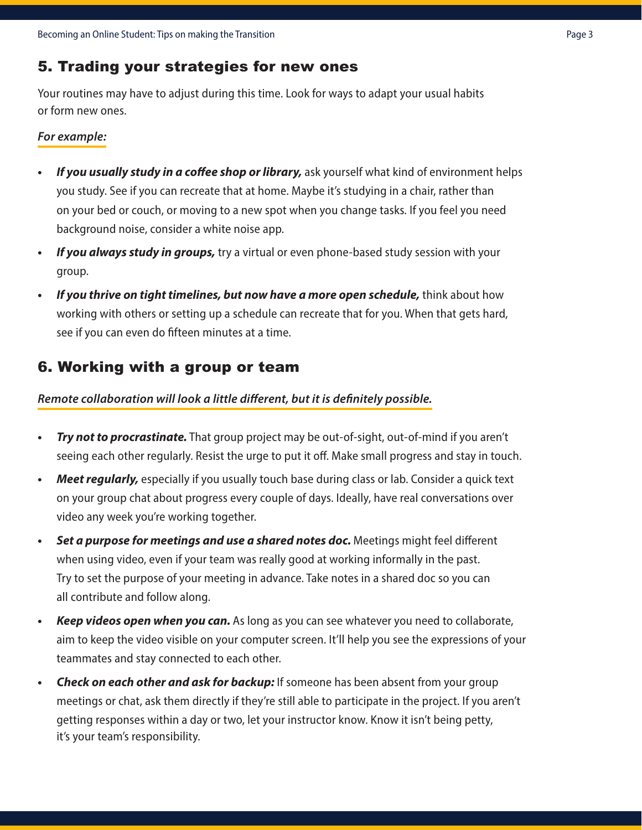## 5. Trading your strategies for new ones

Your routines may have to adjust during this time. Look for ways to adapt your usual habits or form new ones.

#### *For example:*

- *• If you usually study in a coffee shop or library,* ask yourself what kind of environment helps you study. See if you can recreate that at home. Maybe it's studying in a chair, rather than on your bed or couch, or moving to a new spot when you change tasks. If you feel you need background noise, consider a white noise app.
- *• If you always study in groups,* try a virtual or even phone-based study session with your group.
- *• If you thrive on tight timelines, but now have a more open schedule,* think about how working with others or setting up a schedule can recreate that for you. When that gets hard, see if you can even do fifteen minutes at a time.

## 6. Working with a group or team

#### *Remote collaboration will look a little different, but it is definitely possible.*

- *• Try not to procrastinate.* That group project may be out-of-sight, out-of-mind if you aren't seeing each other regularly. Resist the urge to put it off. Make small progress and stay in touch.
- *• Meet regularly,* especially if you usually touch base during class or lab. Consider a quick text on your group chat about progress every couple of days. Ideally, have real conversations over video any week you're working together.
- Set a purpose for meetings and use a shared notes doc. Meetings might feel different when using video, even if your team was really good at working informally in the past. Try to set the purpose of your meeting in advance. Take notes in a shared doc so you can all contribute and follow along.
- *• Keep videos open when you can.* As long as you can see whatever you need to collaborate, aim to keep the video visible on your computer screen. It'll help you see the expressions of your teammates and stay connected to each other.
- *• Check on each other and ask for backup:* If someone has been absent from your group meetings or chat, ask them directly if they're still able to participate in the project. If you aren't getting responses within a day or two, let your instructor know. Know it isn't being petty, it's your team's responsibility.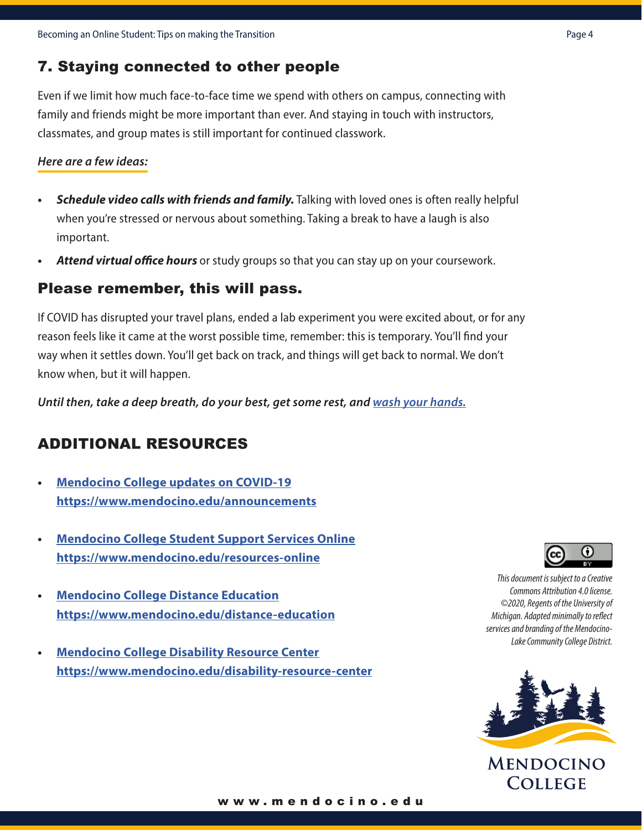## 7. Staying connected to other people

Even if we limit how much face-to-face time we spend with others on campus, connecting with family and friends might be more important than ever. And staying in touch with instructors, classmates, and group mates is still important for continued classwork.

#### *Here are a few ideas:*

- *• Schedule video calls with friends and family.* Talking with loved ones is often really helpful when you're stressed or nervous about something. Taking a break to have a laugh is also important.
- *• Attend virtual office hours* or study groups so that you can stay up on your coursework.

### Please remember, this will pass.

If COVID has disrupted your travel plans, ended a lab experiment you were excited about, or for any reason feels like it came at the worst possible time, remember: this is temporary. You'll find your way when it settles down. You'll get back on track, and things will get back to normal. We don't know when, but it will happen.

*Until then, take a deep breath, do your best, get some rest, and [wash your hands.](https://washyourlyrics.com/)*

## ADDITIONAL RESOURCES

- **• [Mendocino College updates on COVID-19](http://www.mendocino.edu/announcements) https://www.mendocino.edu/announcements**
- **• [Mendocino College Student Support Services Online](https://www.mendocino.edu/resources-online) <https://www.mendocino.edu/resources-online>**
- **• [Mendocino College Distance Education](https://www.mendocino.edu/distance-education) <https://www.mendocino.edu/distance-education>**
- **• [Mendocino College Disability Resource Center](https://www.mendocino.edu/disability-resource-center) <https://www.mendocino.edu/disability-resource-center>**



*This document is subject to a Creative Commons Attribution 4.0 license. ©2020, Regents of the University of Michigan. Adapted minimally to reflect services and branding of the Mendocino-Lake Community College District.*



**MENDOCINO COLLEGE** 

#### www.mendocino.edu www.mendocino.edu